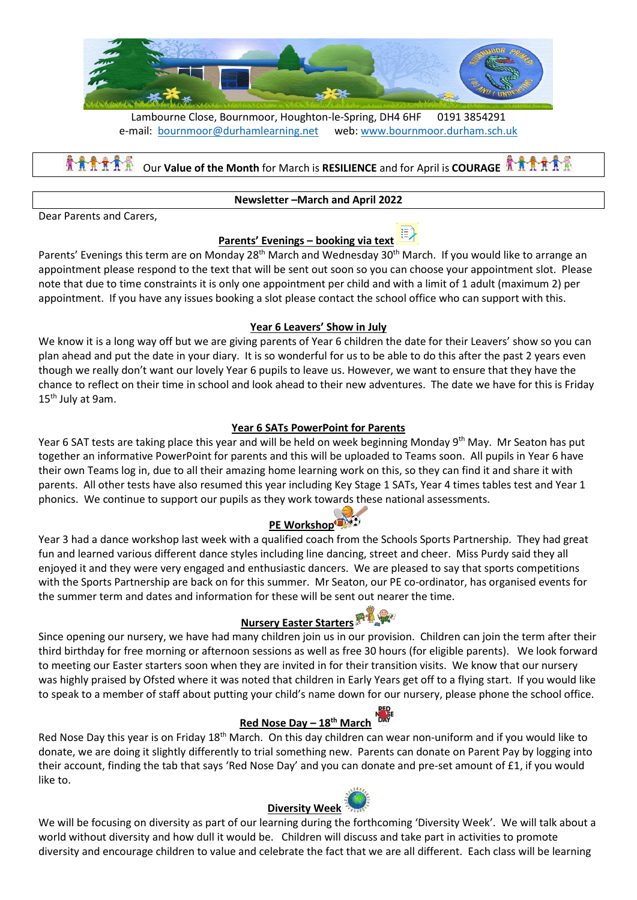

Lambourne Close, Bournmoor, Houghton-le-Spring, DH4 6HF 0191 3854291 e-mail: [bournmoor@durhamlearning.net](mailto:bournmoor@durhamlearning.net) web: [www.bournmoor.durham.sch.uk](http://www.bournmoor.durham.sch.uk/)

Our **Value of the Month** for March is **RESILIENCE** and for April is **COURAGE**

#### **Newsletter –March and April 2022**

Dear Parents and Carers,

#### **Parents' Evenings – booking via text**

Parents' Evenings this term are on Monday 28<sup>th</sup> March and Wednesday 30<sup>th</sup> March. If you would like to arrange an appointment please respond to the text that will be sent out soon so you can choose your appointment slot. Please note that due to time constraints it is only one appointment per child and with a limit of 1 adult (maximum 2) per appointment. If you have any issues booking a slot please contact the school office who can support with this.

#### **Year 6 Leavers' Show in July**

We know it is a long way off but we are giving parents of Year 6 children the date for their Leavers' show so you can plan ahead and put the date in your diary. It is so wonderful for us to be able to do this after the past 2 years even though we really don't want our lovely Year 6 pupils to leave us. However, we want to ensure that they have the chance to reflect on their time in school and look ahead to their new adventures. The date we have for this is Friday 15<sup>th</sup> July at 9am.

#### **Year 6 SATs PowerPoint for Parents**

Year 6 SAT tests are taking place this year and will be held on week beginning Monday 9<sup>th</sup> May. Mr Seaton has put together an informative PowerPoint for parents and this will be uploaded to Teams soon. All pupils in Year 6 have their own Teams log in, due to all their amazing home learning work on this, so they can find it and share it with parents. All other tests have also resumed this year including Key Stage 1 SATs, Year 4 times tables test and Year 1 phonics. We continue to support our pupils as they work towards these national assessments.

#### **PE Workshop**

Year 3 had a dance workshop last week with a qualified coach from the Schools Sports Partnership. They had great fun and learned various different dance styles including line dancing, street and cheer. Miss Purdy said they all enjoyed it and they were very engaged and enthusiastic dancers. We are pleased to say that sports competitions with the Sports Partnership are back on for this summer. Mr Seaton, our PE co-ordinator, has organised events for the summer term and dates and information for these will be sent out nearer the time.

# **Nursery Easter Starters**

Since opening our nursery, we have had many children join us in our provision. Children can join the term after their third birthday for free morning or afternoon sessions as well as free 30 hours (for eligible parents). We look forward to meeting our Easter starters soon when they are invited in for their transition visits. We know that our nursery was highly praised by Ofsted where it was noted that children in Early Years get off to a flying start. If you would like to speak to a member of staff about putting your child's name down for our nursery, please phone the school office.

#### **Red Nose Day – 18th March**

Red Nose Day this year is on Friday 18<sup>th</sup> March. On this day children can wear non-uniform and if you would like to donate, we are doing it slightly differently to trial something new. Parents can donate on Parent Pay by logging into their account, finding the tab that says 'Red Nose Day' and you can donate and pre-set amount of £1, if you would like to.

#### **Diversity Week**

We will be focusing on diversity as part of our learning during the forthcoming 'Diversity Week'. We will talk about a world without diversity and how dull it would be. Children will discuss and take part in activities to promote diversity and encourage children to value and celebrate the fact that we are all different. Each class will be learning